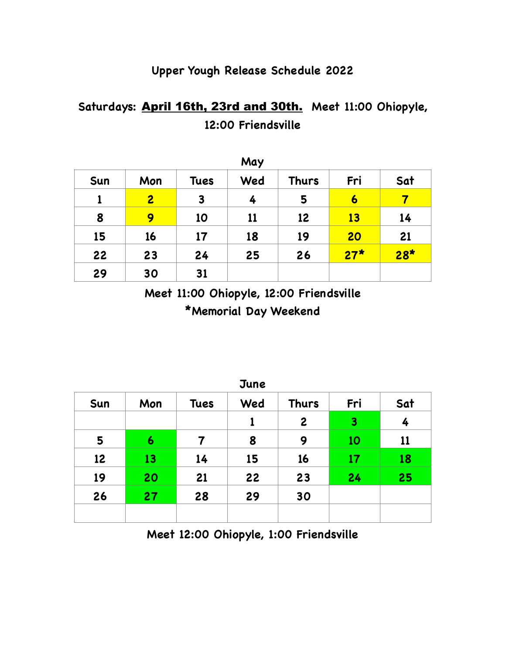## **Upper Yough Release Schedule 2022**

## **Saturdays:** April 16th, 23rd and 30th. **Meet 11:00 Ohiopyle, 12:00 Friendsville**

| May |                |             |     |              |                  |       |  |
|-----|----------------|-------------|-----|--------------|------------------|-------|--|
| Sun | Mon            | <b>Tues</b> | Wed | <b>Thurs</b> | Fri              | Sat   |  |
| 1   | $\overline{2}$ | 3           | 4   | 5            | $\boldsymbol{6}$ |       |  |
| 8   | 9              | 10          | 11  | 12           | 13               | 14    |  |
| 15  | 16             | 17          | 18  | 19           | 20               | 21    |  |
| 22  | 23             | 24          | 25  | 26           | $27*$            | $28*$ |  |
| 29  | 30             | 31          |     |              |                  |       |  |

**Meet 11:00 Ohiopyle, 12:00 Friendsville \*Memorial Day Weekend**

| <b>June</b> |     |             |     |                  |     |     |  |
|-------------|-----|-------------|-----|------------------|-----|-----|--|
| Sun         | Mon | <b>Tues</b> | Wed | <b>Thurs</b>     | Fri | Sat |  |
|             |     |             |     | $\boldsymbol{2}$ | 3   | 4   |  |
| 5           | 6   | 7           | 8   | 9                | 10  | 11  |  |
| 12          | 13  | 14          | 15  | 16               | 17  | 18  |  |
| 19          | 20  | 21          | 22  | 23               | 24  | 25  |  |
| 26          | 27  | 28          | 29  | 30               |     |     |  |
|             |     |             |     |                  |     |     |  |

**Meet 12:00 Ohiopyle, 1:00 Friendsville**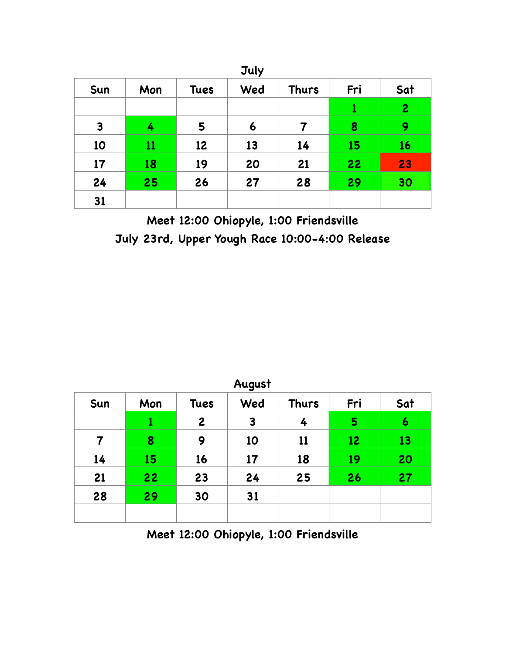| <b>July</b>  |     |             |     |              |     |                |  |
|--------------|-----|-------------|-----|--------------|-----|----------------|--|
| Sun          | Mon | <b>Tues</b> | Wed | <b>Thurs</b> | Fri | Sat            |  |
|              |     |             |     |              | 1   | $\overline{c}$ |  |
| $\mathbf{3}$ | 4   | 5           | 6   | 7            | 8   | 9              |  |
| 10           | 11  | 12          | 13  | 14           | 15  | 16             |  |
| 17           | 18  | 19          | 20  | 21           | 22  | 23             |  |
| 24           | 25  | 26          | 27  | 28           | 29  | 30             |  |
| 31           |     |             |     |              |     |                |  |

**Meet 12:00 Ohiopyle, 1:00 Friendsville July 23rd, Upper Yough Race 10:00-4:00 Release**

| August |     |                  |     |              |     |     |  |
|--------|-----|------------------|-----|--------------|-----|-----|--|
| Sun    | Mon | <b>Tues</b>      | Wed | <b>Thurs</b> | Fri | Sat |  |
|        | 1   | $\boldsymbol{2}$ | 3   | 4            | 5   | 6   |  |
| 7      | 8   | 9                | 10  | 11           | 12  | 13  |  |
| 14     | 15  | 16               | 17  | 18           | 19  | 20  |  |
| 21     | 22  | 23               | 24  | 25           | 26  | 27  |  |
| 28     | 29  | 30               | 31  |              |     |     |  |
|        |     |                  |     |              |     |     |  |
|        |     |                  |     |              |     |     |  |

**Meet 12:00 Ohiopyle, 1:00 Friendsville**